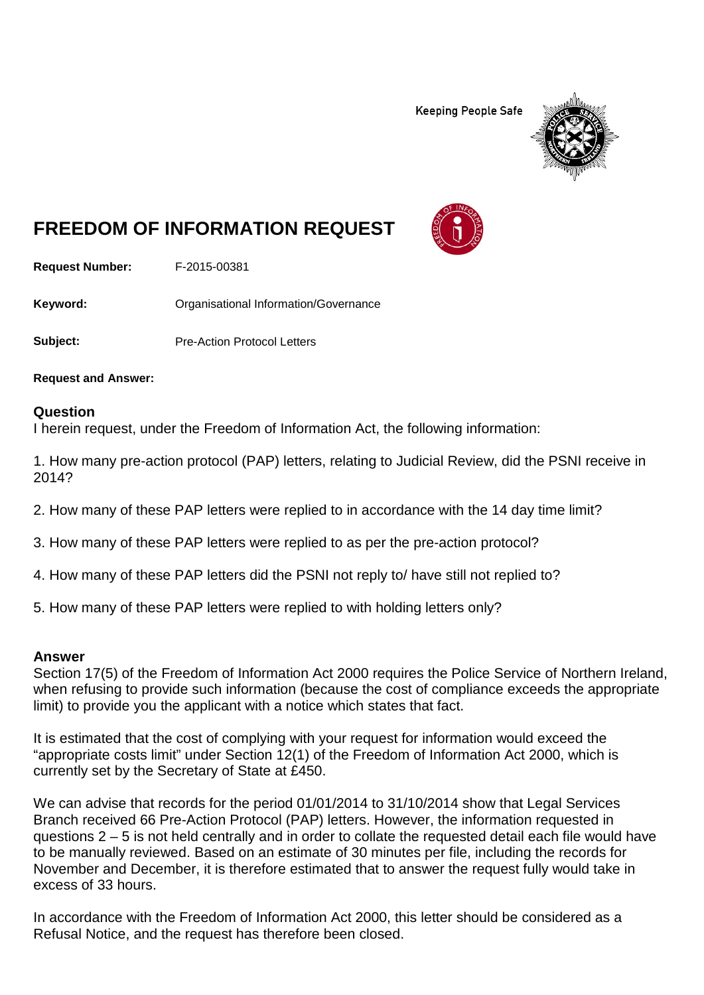**Keeping People Safe** 



## **FREEDOM OF INFORMATION REQUEST**

**Request Number:** F-2015-00381

Keyword: **Communistry Communists** Organisational Information/Governance

**Subject:** Pre-Action Protocol Letters

**Request and Answer:**

## **Question**

I herein request, under the Freedom of Information Act, the following information:

1. How many pre-action protocol (PAP) letters, relating to Judicial Review, did the PSNI receive in 2014?

- 2. How many of these PAP letters were replied to in accordance with the 14 day time limit?
- 3. How many of these PAP letters were replied to as per the pre-action protocol?
- 4. How many of these PAP letters did the PSNI not reply to/ have still not replied to?
- 5. How many of these PAP letters were replied to with holding letters only?

## **Answer**

Section 17(5) of the Freedom of Information Act 2000 requires the Police Service of Northern Ireland, when refusing to provide such information (because the cost of compliance exceeds the appropriate limit) to provide you the applicant with a notice which states that fact.

It is estimated that the cost of complying with your request for information would exceed the "appropriate costs limit" under Section 12(1) of the Freedom of Information Act 2000, which is currently set by the Secretary of State at £450.

We can advise that records for the period 01/01/2014 to 31/10/2014 show that Legal Services Branch received 66 Pre-Action Protocol (PAP) letters. However, the information requested in questions 2 – 5 is not held centrally and in order to collate the requested detail each file would have to be manually reviewed. Based on an estimate of 30 minutes per file, including the records for November and December, it is therefore estimated that to answer the request fully would take in excess of 33 hours.

In accordance with the Freedom of Information Act 2000, this letter should be considered as a Refusal Notice, and the request has therefore been closed.